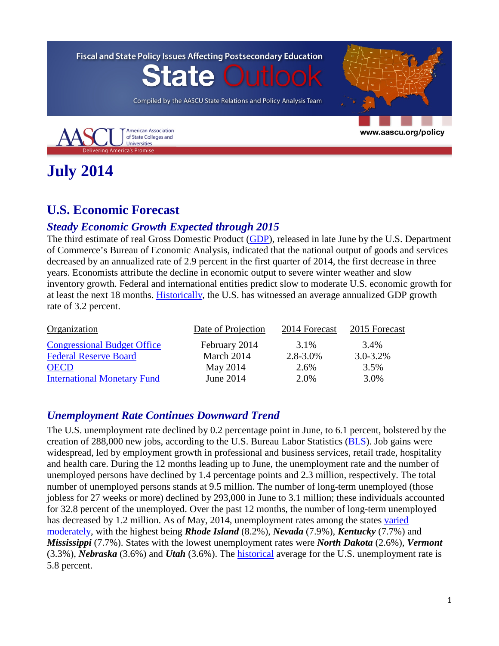**Fiscal and State Policy Issues Affecting Postsecondary Education** te Ou Compiled by the AASCU State Relations and Policy Analysis Team **American Association** www.aascu.org/policy of State Colleges and Universities ing America's Promise

# **July 2014**

## **U.S. Economic Forecast**

## *Steady Economic Growth Expected through 2015*

The third estimate of real Gross Domestic Product [\(GDP\)](http://www.bea.gov/newsreleases/national/gdp/gdpnewsrelease.htm), released in late June by the U.S. Department of Commerce's Bureau of Economic Analysis, indicated that the national output of goods and services decreased by an annualized rate of 2.9 percent in the first quarter of 2014, the first decrease in three years. Economists attribute the decline in economic output to severe winter weather and slow inventory growth. Federal and international entities predict slow to moderate U.S. economic growth for at least the next 18 months. [Historically,](http://www.tradingeconomics.com/united-states/gdp-growth) the U.S. has witnessed an average annualized GDP growth rate of 3.2 percent.

| Organization                       | Date of Projection | 2014 Forecast | 2015 Forecast |
|------------------------------------|--------------------|---------------|---------------|
| <b>Congressional Budget Office</b> | February 2014      | 3.1%          | 3.4%          |
| <b>Federal Reserve Board</b>       | March 2014         | $2.8 - 3.0\%$ | $3.0 - 3.2\%$ |
| <b>OECD</b>                        | May 2014           | 2.6%          | 3.5%          |
| <b>International Monetary Fund</b> | June 2014          | 2.0%          | 3.0%          |

## *Unemployment Rate Continues Downward Trend*

The U.S. unemployment rate declined by 0.2 percentage point in June, to 6.1 percent, bolstered by the creation of 288,000 new jobs, according to the U.S. Bureau Labor Statistics [\(BLS\)](http://www.bls.gov/news.release/empsit.nr0.htm). Job gains were widespread, led by employment growth in professional and business services, retail trade, hospitality and health care. During the 12 months leading up to June, the unemployment rate and the number of unemployed persons have declined by 1.4 percentage points and 2.3 million, respectively. The total number of unemployed persons stands at 9.5 million. The number of long-term unemployed (those jobless for 27 weeks or more) declined by 293,000 in June to 3.1 million; these individuals accounted for 32.8 percent of the unemployed. Over the past 12 months, the number of long-term unemployed has decreased by 1.2 million. As of May, 2014, unemployment rates among the states [varied](http://www.bls.gov/news.release/laus.nr0.htm) [moderately,](http://www.bls.gov/news.release/laus.nr0.htm) with the highest being *Rhode Island* (8.2%), *Nevada* (7.9%), *Kentucky* (7.7%) and *Mississippi* (7.7%). States with the lowest unemployment rates were *North Dakota* (2.6%), *Vermont* (3.3%), *Nebraska* (3.6%) and *Utah* (3.6%). The [historical](http://www.tradingeconomics.com/united-states/unemployment-rate) average for the U.S. unemployment rate is 5.8 percent.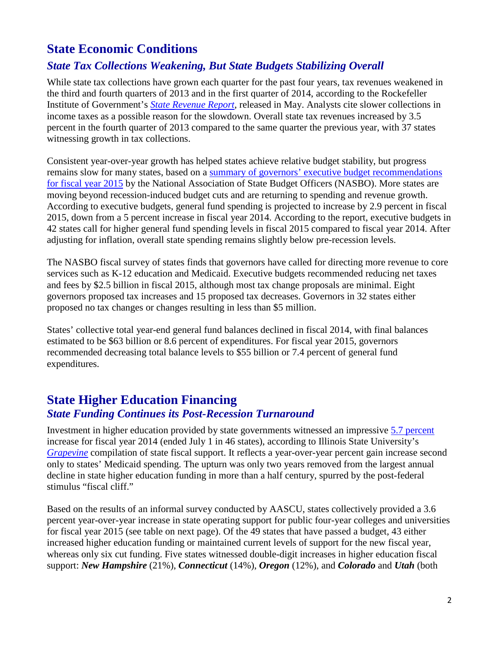## **State Economic Conditions**

## *State Tax Collections Weakening, But State Budgets Stabilizing Overall*

While state tax collections have grown each quarter for the past four years, tax revenues weakened in the third and fourth quarters of 2013 and in the first quarter of 2014, according to the Rockefeller Institute of Government's *[State Revenue Report](http://www.rockinst.org/pdf/government_finance/state_revenue_report/2014-04-29-SRR_95v2.pdf)*, released in May. Analysts cite slower collections in income taxes as a possible reason for the slowdown. Overall state tax revenues increased by 3.5 percent in the fourth quarter of 2013 compared to the same quarter the previous year, with 37 states witnessing growth in tax collections.

Consistent year-over-year growth has helped states achieve relative budget stability, but progress remains slow for many states, based on a summary of governors' executive budget recommendations [for fiscal year 2015](http://www.nasbo.org/sites/default/files/Summary_Spring2014%20Fiscal%20Survey%20of%20States.pdf) by the National Association of State Budget Officers (NASBO). More states are moving beyond recession-induced budget cuts and are returning to spending and revenue growth. According to executive budgets, general fund spending is projected to increase by 2.9 percent in fiscal 2015, down from a 5 percent increase in fiscal year 2014. According to the report, executive budgets in 42 states call for higher general fund spending levels in fiscal 2015 compared to fiscal year 2014. After adjusting for inflation, overall state spending remains slightly below pre-recession levels.

The NASBO fiscal survey of states finds that governors have called for directing more revenue to core services such as K-12 education and Medicaid. Executive budgets recommended reducing net taxes and fees by \$2.5 billion in fiscal 2015, although most tax change proposals are minimal. Eight governors proposed tax increases and 15 proposed tax decreases. Governors in 32 states either proposed no tax changes or changes resulting in less than \$5 million.

States' collective total year-end general fund balances declined in fiscal 2014, with final balances estimated to be \$63 billion or 8.6 percent of expenditures. For fiscal year 2015, governors recommended decreasing total balance levels to \$55 billion or 7.4 percent of general fund expenditures.

## **State Higher Education Financing** *State Funding Continues its Post-Recession Turnaround*

Investment in higher education provided by state governments witnessed an impressive [5.7 percent](http://grapevine.illinoisstate.edu/tables/FY14/Table2_GPV14.pdf) increase for fiscal year 2014 (ended July 1 in 46 states), according to Illinois State University's *[Grapevine](http://grapevine.illinoisstate.edu/)* compilation of state fiscal support. It reflects a year-over-year percent gain increase second only to states' Medicaid spending. The upturn was only two years removed from the largest annual decline in state higher education funding in more than a half century, spurred by the post-federal stimulus "fiscal cliff."

Based on the results of an informal survey conducted by AASCU, states collectively provided a 3.6 percent year-over-year increase in state operating support for public four-year colleges and universities for fiscal year 2015 (see table on next page). Of the 49 states that have passed a budget, 43 either increased higher education funding or maintained current levels of support for the new fiscal year, whereas only six cut funding. Five states witnessed double-digit increases in higher education fiscal support: *New Hampshire* (21%), *Connecticut* (14%), *Oregon* (12%), and *Colorado* and *Utah* (both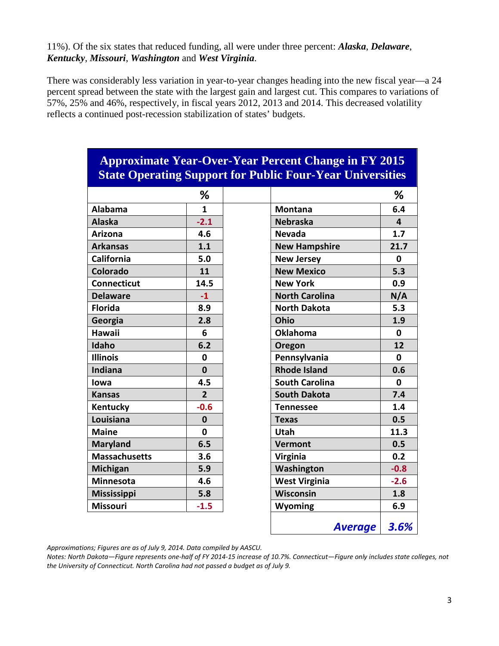#### 11%). Of the six states that reduced funding, all were under three percent: *Alaska*, *Delaware*, *Kentucky*, *Missouri*, *Washington* and *West Virginia*.

There was considerably less variation in year-to-year changes heading into the new fiscal year—a 24 percent spread between the state with the largest gain and largest cut. This compares to variations of 57%, 25% and 46%, respectively, in fiscal years 2012, 2013 and 2014. This decreased volatility reflects a continued post-recession stabilization of states' budgets.

|                      |                | state operating support for a done I our a car employees |              |
|----------------------|----------------|----------------------------------------------------------|--------------|
|                      | %              |                                                          | %            |
| <b>Alabama</b>       | $\mathbf{1}$   | <b>Montana</b>                                           | 6.4          |
| <b>Alaska</b>        | $-2.1$         | <b>Nebraska</b>                                          | 4            |
| <b>Arizona</b>       | 4.6            | <b>Nevada</b>                                            | 1.7          |
| <b>Arkansas</b>      | 1.1            | <b>New Hampshire</b>                                     | 21.7         |
| California           | 5.0            | <b>New Jersey</b>                                        | 0            |
| Colorado             | 11             | <b>New Mexico</b>                                        | 5.3          |
| <b>Connecticut</b>   | 14.5           | <b>New York</b>                                          | 0.9          |
| <b>Delaware</b>      | $-1$           | <b>North Carolina</b>                                    | N/A          |
| <b>Florida</b>       | 8.9            | <b>North Dakota</b>                                      | 5.3          |
| Georgia              | 2.8            | Ohio                                                     | 1.9          |
| <b>Hawaii</b>        | 6              | <b>Oklahoma</b>                                          | $\mathbf{0}$ |
| Idaho                | 6.2            | Oregon                                                   | 12           |
| <b>Illinois</b>      | $\mathbf 0$    | Pennsylvania                                             | $\mathbf 0$  |
| Indiana              | $\mathbf{0}$   | <b>Rhode Island</b>                                      | 0.6          |
| lowa                 | 4.5            | <b>South Carolina</b>                                    | $\mathbf 0$  |
| <b>Kansas</b>        | $\overline{2}$ | <b>South Dakota</b>                                      | 7.4          |
| Kentucky             | $-0.6$         | <b>Tennessee</b>                                         | 1.4          |
| Louisiana            | $\mathbf{0}$   | <b>Texas</b>                                             | 0.5          |
| <b>Maine</b>         | $\mathbf{0}$   | Utah                                                     | 11.3         |
| <b>Maryland</b>      | 6.5            | <b>Vermont</b>                                           | 0.5          |
| <b>Massachusetts</b> | 3.6            | Virginia                                                 | 0.2          |
| <b>Michigan</b>      | 5.9            | Washington                                               | $-0.8$       |
| <b>Minnesota</b>     | 4.6            | <b>West Virginia</b>                                     | $-2.6$       |
| Mississippi          | 5.8            | Wisconsin                                                | 1.8          |
| <b>Missouri</b>      | $-1.5$         | <b>Wyoming</b><br>6.9                                    |              |

## **Approximate Year-Over-Year Percent Change in FY 2015 State Operating Support for Public Four-Year Universities**

*Approximations; Figures are as of July 9, 2014. Data compiled by AASCU.*

*Notes: North Dakota—Figure represents one-half of FY 2014-15 increase of 10.7%. Connecticut—Figure only includes state colleges, not the University of Connecticut. North Carolina had not passed a budget as of July 9.*

*Average 3.6%*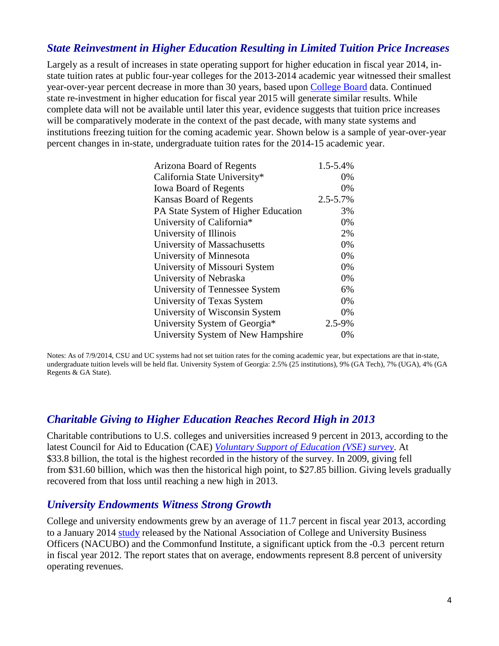## *State Reinvestment in Higher Education Resulting in Limited Tuition Price Increases*

Largely as a result of increases in state operating support for higher education in fiscal year 2014, instate tuition rates at public four-year colleges for the 2013-2014 academic year witnessed their smallest year-over-year percent decrease in more than 30 years, based upon [College Board](http://trends.collegeboard.org/sites/default/files/college-pricing-2013-full-report.pdf) data. Continued state re-investment in higher education for fiscal year 2015 will generate similar results. While complete data will not be available until later this year, evidence suggests that tuition price increases will be comparatively moderate in the context of the past decade, with many state systems and institutions freezing tuition for the coming academic year. Shown below is a sample of year-over-year percent changes in in-state, undergraduate tuition rates for the 2014-15 academic year.

| Arizona Board of Regents            | 1.5-5.4%      |
|-------------------------------------|---------------|
| California State University*        | 0%            |
| <b>Iowa Board of Regents</b>        | 0%            |
| <b>Kansas Board of Regents</b>      | $2.5 - 5.7\%$ |
| PA State System of Higher Education | 3%            |
| University of California*           | 0%            |
| University of Illinois              | 2%            |
| University of Massachusetts         | 0%            |
| University of Minnesota             | 0%            |
| University of Missouri System       | 0%            |
| University of Nebraska              | 0%            |
| University of Tennessee System      | 6%            |
| University of Texas System          | 0%            |
| University of Wisconsin System      | 0%            |
| University System of Georgia*       | 2.5-9%        |
| University System of New Hampshire  | 0%            |

Notes: As of 7/9/2014, CSU and UC systems had not set tuition rates for the coming academic year, but expectations are that in-state, undergraduate tuition levels will be held flat. University System of Georgia: 2.5% (25 institutions), 9% (GA Tech), 7% (UGA), 4% (GA Regents & GA State).

## *Charitable Giving to Higher Education Reaches Record High in 2013*

Charitable contributions to U.S. colleges and universities increased 9 percent in 2013, according to the latest Council for Aid to Education (CAE) *[Voluntary Support of Education \(VSE\) survey](http://cae.org/images/uploads/pdf/VSE-2013-Press-Release.pdf)*. At \$33.8 billion, the total is the highest recorded in the history of the survey. In 2009, giving fell from \$31.60 billion, which was then the historical high point, to \$27.85 billion. Giving levels gradually recovered from that loss until reaching a new high in 2013.

#### *University Endowments Witness Strong Growth*

College and university endowments grew by an average of 11.7 percent in fiscal year 2013, according to a January 2014 [study](http://www.nacubo.org/Documents/EndowmentFiles/2013NCSEPressReleaseFinal.pdf) released by the National Association of College and University Business Officers (NACUBO) and the Commonfund Institute, a significant uptick from the -0.3 percent return in fiscal year 2012. The report states that on average, endowments represent 8.8 percent of university operating revenues.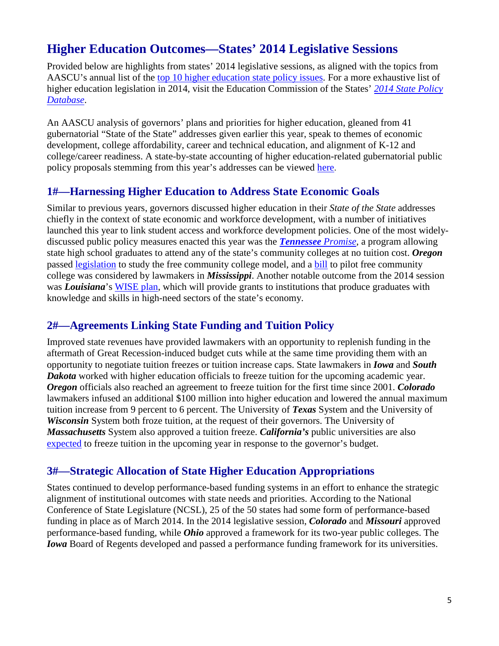## **Higher Education Outcomes—States' 2014 Legislative Sessions**

Provided below are highlights from states' 2014 legislative sessions, as aligned with the topics from AASCU's annual list of the [top 10 higher education state policy issues.](http://www.aascu.org/policy/publications/policy-matters/Top10StatePolicyIssues2014.pdf) For a more exhaustive list of higher education legislation in 2014, visit the Education Commission of the States' *[2014 State Policy](http://www.ecs.org/ecs/ecscat.nsf/Web2014All?OpenView&Count=-1)  [Database](http://www.ecs.org/ecs/ecscat.nsf/Web2014All?OpenView&Count=-1)*.

An AASCU analysis of governors' plans and priorities for higher education, gleaned from 41 gubernatorial "State of the State" addresses given earlier this year, speak to themes of economic development, college affordability, career and technical education, and alignment of K-12 and college/career readiness. A state-by-state accounting of higher education-related gubernatorial public policy proposals stemming from this year's addresses can be viewed [here.](http://www.aascu.org/policy/state-policy/2014StateoftheStateAddresses.pdf)

## **1#—Harnessing Higher Education to Address State Economic Goals**

Similar to previous years, governors discussed higher education in their *State of the State* addresses chiefly in the context of state economic and workforce development, with a number of initiatives launched this year to link student access and workforce development policies. One of the most widelydiscussed public policy measures enacted this year was the *[Tennessee](http://www.driveto55.org/tennessee-promise/) Promise*, a program allowing state high school graduates to attend any of the state's community colleges at no tuition cost. *Oregon* passed [legislation](https://olis.leg.state.or.us/liz/2014R1/Measures/Text/SB1524/Enrolled) to study the free community college model, and a [bill](http://www.hattiesburgamerican.com/article/20140318/OPINION02/303180001/) to pilot free community college was considered by lawmakers in *Mississippi*. Another notable outcome from the 2014 session was *Louisiana*'s [WISE plan,](http://wiseplan2014.files.wordpress.com/2014/04/wise-1pager.pdf) which will provide grants to institutions that produce graduates with knowledge and skills in high-need sectors of the state's economy.

## **2#—Agreements Linking State Funding and Tuition Policy**

Improved state revenues have provided lawmakers with an opportunity to replenish funding in the aftermath of Great Recession-induced budget cuts while at the same time providing them with an opportunity to negotiate tuition freezes or tuition increase caps. State lawmakers in *Iowa* and *South Dakota* worked with higher education officials to freeze tuition for the upcoming academic year. *Oregon* officials also reached an agreement to freeze tuition for the first time since 2001. *Colorado* lawmakers infused an additional \$100 million into higher education and lowered the annual maximum tuition increase from 9 percent to 6 percent. The University of *Texas* System and the University of *Wisconsin* System both froze tuition, at the request of their governors. The University of *Massachusetts* System also approved a tuition freeze. *California's* public universities are also [expected](http://www.mercurynews.com/education/ci_25753843/higher-education-browns-budget-proposal-calls-funding-increase) to freeze tuition in the upcoming year in response to the governor's budget.

## **3#—Strategic Allocation of State Higher Education Appropriations**

States continued to develop performance-based funding systems in an effort to enhance the strategic alignment of institutional outcomes with state needs and priorities. According to the National Conference of State Legislature (NCSL), 25 of the 50 states had some form of performance-based funding in place as of March 2014. In the 2014 legislative session, *Colorado* and *Missouri* approved performance-based funding, while *Ohio* approved a framework for its two-year public colleges. The *Iowa* Board of Regents developed and passed a performance funding framework for its universities.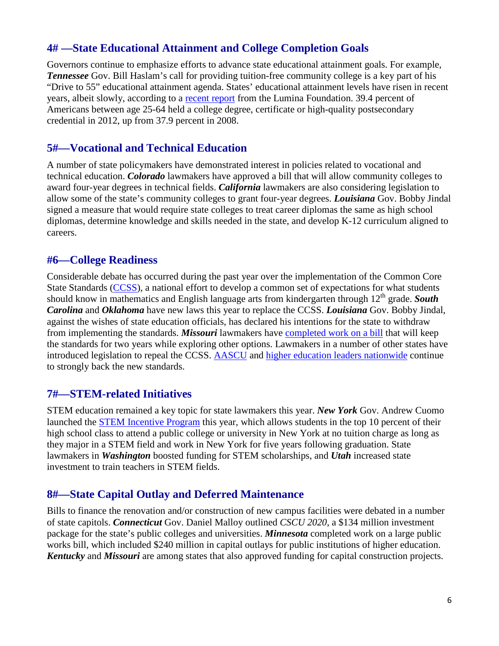## **4# —State Educational Attainment and College Completion Goals**

Governors continue to emphasize efforts to advance state educational attainment goals. For example, *Tennessee* Gov. Bill Haslam's call for providing tuition-free community college is a key part of his "Drive to 55" educational attainment agenda. States' educational attainment levels have risen in recent years, albeit slowly, according to a [recent report](http://www.luminafoundation.org/stronger_nation) from the Lumina Foundation. 39.4 percent of Americans between age 25-64 held a college degree, certificate or high-quality postsecondary credential in 2012, up from 37.9 percent in 2008.

#### **5#—Vocational and Technical Education**

A number of state policymakers have demonstrated interest in policies related to vocational and technical education. *Colorado* lawmakers have approved a bill that will allow community colleges to award four-year degrees in technical fields. *California* lawmakers are also considering legislation to allow some of the state's community colleges to grant four-year degrees. *Louisiana* Gov. Bobby Jindal signed a measure that would require state colleges to treat career diplomas the same as high school diplomas, determine knowledge and skills needed in the state, and develop K-12 curriculum aligned to careers.

#### **#6—College Readiness**

Considerable debate has occurred during the past year over the implementation of the Common Core State Standards [\(CCSS\)](http://www.corestandards.org/), a national effort to develop a common set of expectations for what students should know in mathematics and English language arts from kindergarten through 12<sup>th</sup> grade. **South** *Carolina* and *Oklahoma* have new laws this year to replace the CCSS. *Louisiana* Gov. Bobby Jindal, against the wishes of state education officials, has declared his intentions for the state to withdraw from implementing the standards. *Missouri* lawmakers have [completed work on a bill](http://www.kansascity.com/news/government-politics/article286121/Missouri-lawmakers-approve-a-Common-Core-compromise.html) that will keep the standards for two years while exploring other options. Lawmakers in a number of other states have introduced legislation to repeal the CCSS. [AASCU](http://www.aascu.org/policy/public-policy/2014publicpolicyagenda.pdf) and [higher education leaders nationwide](http://higheredforhigherstandards.org/supporters/) continue to strongly back the new standards.

## **7#—STEM-related Initiatives**

STEM education remained a key topic for state lawmakers this year. *New York* Gov. Andrew Cuomo launched the **STEM** Incentive Program this year, which allows students in the top 10 percent of their high school class to attend a public college or university in New York at no tuition charge as long as they major in a STEM field and work in New York for five years following graduation. State lawmakers in *Washington* boosted funding for STEM scholarships, and *Utah* increased state investment to train teachers in STEM fields.

## **8#—State Capital Outlay and Deferred Maintenance**

Bills to finance the renovation and/or construction of new campus facilities were debated in a number of state capitols. *Connecticut* Gov. Daniel Malloy outlined *CSCU 2020*, a \$134 million investment package for the state's public colleges and universities. *Minnesota* completed work on a large public works bill, which included \$240 million in capital outlays for public institutions of higher education. *Kentucky* and *Missouri* are among states that also approved funding for capital construction projects.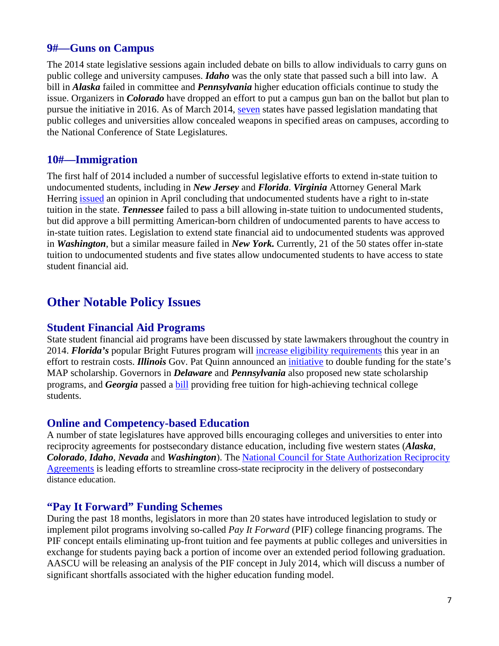## **9#—Guns on Campus**

The 2014 state legislative sessions again included debate on bills to allow individuals to carry guns on public college and university campuses. *Idaho* was the only state that passed such a bill into law. A bill in *Alaska* failed in committee and *Pennsylvania* higher education officials continue to study the issue. Organizers in *Colorado* have dropped an effort to put a campus gun ban on the ballot but plan to pursue the initiative in 2016. As of March 2014, [seven](http://www.ncsl.org/research/education/guns-on-campus-overview.aspx) states have passed legislation mandating that public colleges and universities allow concealed weapons in specified areas on campuses, according to the National Conference of State Legislatures.

#### **10#—Immigration**

The first half of 2014 included a number of successful legislative efforts to extend in-state tuition to undocumented students, including in *New Jersey* and *Florida*. *Virginia* Attorney General Mark Herring [issued](http://www.nytimes.com/2014/04/30/us/dreamers-eligible-for-in-state-tuition-virginias-attorney-general-says.html?_r=0) an opinion in April concluding that undocumented students have a right to in-state tuition in the state. *Tennessee* failed to pass a bill allowing in-state tuition to undocumented students, but did approve a bill permitting American-born children of undocumented parents to have access to in-state tuition rates. Legislation to extend state financial aid to undocumented students was approved in *Washington*, but a similar measure failed in *New York.* Currently, 21 of the 50 states offer in-state tuition to undocumented students and five states allow undocumented students to have access to state student financial aid.

## **Other Notable Policy Issues**

#### **Student Financial Aid Programs**

State student financial aid programs have been discussed by state lawmakers throughout the country in 2014. *Florida's* popular Bright Futures program will [increase eligibility requirements](http://www.bradenton.com/2014/06/12/5203333/gov-scott-ripped-for-cutting-floridas.html) this year in an effort to restrain costs. *Illinois* Gov. Pat Quinn announced an [initiative](http://www3.illinois.gov/PressReleases/ShowPressRelease.cfm?SubjectID=2&RecNum=12197) to double funding for the state's MAP scholarship. Governors in *Delaware* and *Pennsylvania* also proposed new state scholarship programs, and *Georgia* passed a [bill](http://www.ajc.com/news/news/local-education/gov-deal-signs-bill-expanding-hope-for-tech-colleg/nfkYY/) providing free tuition for high-achieving technical college students.

#### **Online and Competency-based Education**

A number of state legislatures have approved bills encouraging colleges and universities to enter into reciprocity agreements for postsecondary distance education, including five western states (*Alaska*, *Colorado*, *Idaho*, *Nevada* and *Washington*). The [National Council for State Authorization Reciprocity](http://nc-sara.org/)  [Agreements](http://nc-sara.org/) is leading efforts to streamline cross-state reciprocity in the delivery of postsecondary distance education.

#### **"Pay It Forward" Funding Schemes**

During the past 18 months, legislators in more than 20 states have introduced legislation to study or implement pilot programs involving so-called *Pay It Forward* (PIF) college financing programs. The PIF concept entails eliminating up-front tuition and fee payments at public colleges and universities in exchange for students paying back a portion of income over an extended period following graduation. AASCU will be releasing an analysis of the PIF concept in July 2014, which will discuss a number of significant shortfalls associated with the higher education funding model.